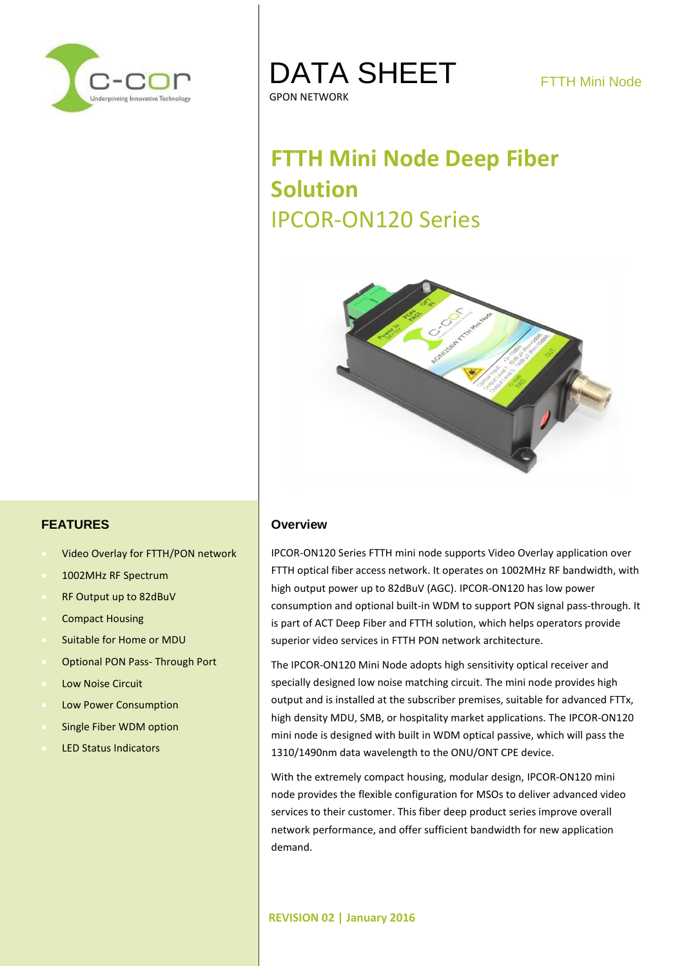

## DATA SHEET GPON NETWORK

# **FTTH Mini Node Deep Fiber Solution** IPCOR-ON120 Series



#### **FEATURES**

- Video Overlay for FTTH/PON network
- 1002MHz RF Spectrum
- RF Output up to 82dBuV
- Compact Housing
- Suitable for Home or MDU
- Optional PON Pass- Through Port
- Low Noise Circuit
- Low Power Consumption
- Single Fiber WDM option
- LED Status Indicators

#### **Overview**

IPCOR-ON120 Series FTTH mini node supports Video Overlay application over FTTH optical fiber access network. It operates on 1002MHz RF bandwidth, with high output power up to 82dBuV (AGC). IPCOR-ON120 has low power consumption and optional built-in WDM to support PON signal pass-through. It is part of ACT Deep Fiber and FTTH solution, which helps operators provide superior video services in FTTH PON network architecture.

The IPCOR-ON120 Mini Node adopts high sensitivity optical receiver and specially designed low noise matching circuit. The mini node provides high output and is installed at the subscriber premises, suitable for advanced FTTx, high density MDU, SMB, or hospitality market applications. The IPCOR-ON120 mini node is designed with built in WDM optical passive, which will pass the 1310/1490nm data wavelength to the ONU/ONT CPE device.

With the extremely compact housing, modular design, IPCOR-ON120 mini node provides the flexible configuration for MSOs to deliver advanced video services to their customer. This fiber deep product series improve overall network performance, and offer sufficient bandwidth for new application demand.

#### **REVISION 02 | January 2016**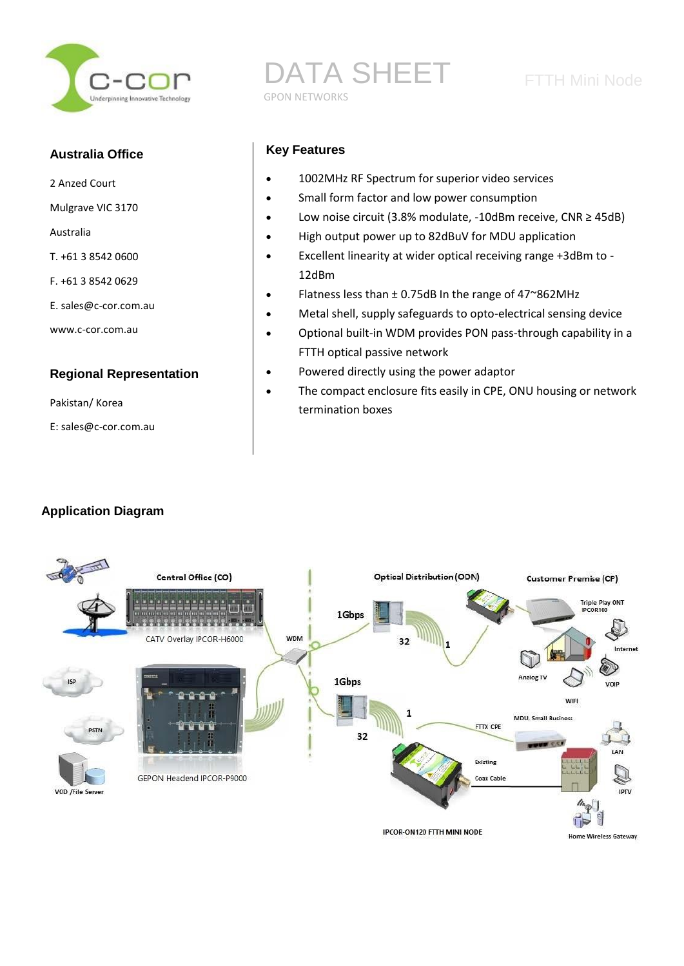

#### **Australia Office**

- 2 Anzed Court
- Mulgrave VIC 3170
- Australia
- T. +61 3 8542 0600
- F. +61 3 8542 0629
- E. sales@c-cor.com.au
- www.c-cor.com.au

#### **Regional Representation**

Pakistan/ Korea

E: sales@c-cor.com.au

# DATA SHEET FTTH Mini Node GPON NETWORKS

#### **Key Features**

- 1002MHz RF Spectrum for superior video services
- Small form factor and low power consumption
- Low noise circuit (3.8% modulate, -10dBm receive, CNR ≥ 45dB)
- High output power up to 82dBuV for MDU application
- Excellent linearity at wider optical receiving range +3dBm to 12dBm
- Flatness less than ± 0.75dB In the range of 47~862MHz
- Metal shell, supply safeguards to opto-electrical sensing device
- Optional built-in WDM provides PON pass-through capability in a FTTH optical passive network
- Powered directly using the power adaptor
- The compact enclosure fits easily in CPE, ONU housing or network termination boxes

### **Application Diagram**

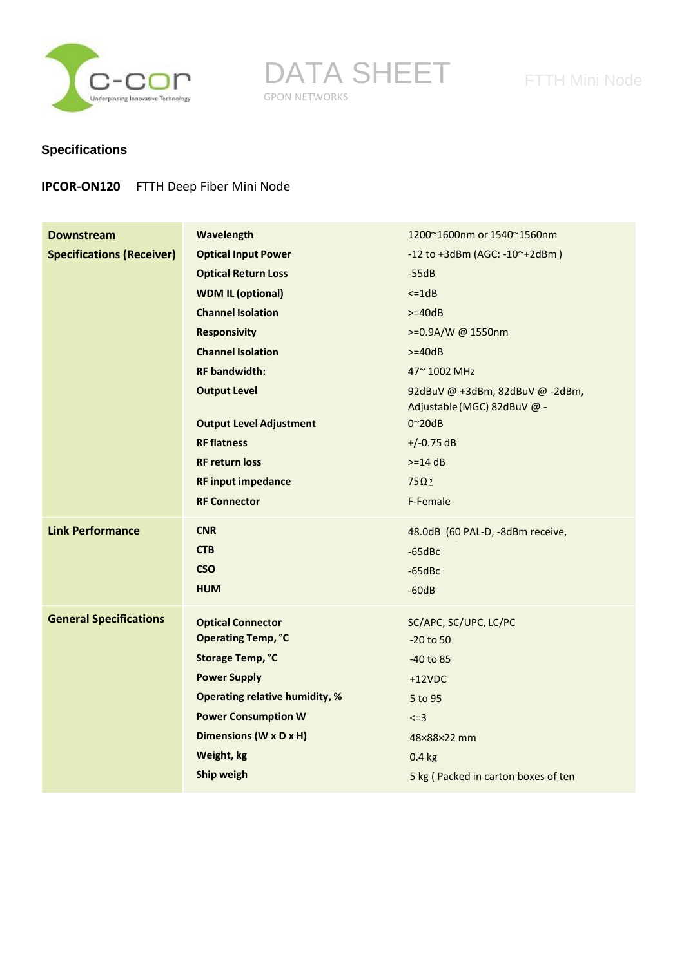

DATA SHEET FTTH Mini Node GPON NETWORKS

### **Specifications**

#### **IPCOR-ON120** FTTH Deep Fiber Mini Node

| <b>Downstream</b>                | Wavelength                            | 1200~1600nm or 1540~1560nm                                     |
|----------------------------------|---------------------------------------|----------------------------------------------------------------|
| <b>Specifications (Receiver)</b> | <b>Optical Input Power</b>            | $-12$ to $+3d$ Bm (AGC: $-10$ <sup>~</sup> $+2d$ Bm)           |
|                                  | <b>Optical Return Loss</b>            | $-55dB$                                                        |
|                                  | <b>WDM IL (optional)</b>              | $\leq$ 1dB                                                     |
|                                  | <b>Channel Isolation</b>              | $>=40dB$                                                       |
|                                  | <b>Responsivity</b>                   | >=0.9A/W @ 1550nm                                              |
|                                  | <b>Channel Isolation</b>              | $>=40dB$                                                       |
|                                  | <b>RF</b> bandwidth:                  | 47~1002 MHz                                                    |
|                                  | <b>Output Level</b>                   | 92dBuV @ +3dBm, 82dBuV @ -2dBm,<br>Adjustable (MGC) 82dBuV @ - |
|                                  | <b>Output Level Adjustment</b>        | $0^{\sim}$ 20dB                                                |
|                                  | <b>RF flatness</b>                    | $+/-0.75$ dB                                                   |
|                                  | <b>RF return loss</b>                 | $>=14 dB$                                                      |
|                                  | <b>RF input impedance</b>             | $75\Omega$                                                     |
|                                  | <b>RF Connector</b>                   | F-Female                                                       |
| <b>Link Performance</b>          | <b>CNR</b>                            | 48.0dB (60 PAL-D, -8dBm receive,                               |
|                                  | <b>CTB</b>                            | $-65$ dBc                                                      |
|                                  | <b>CSO</b>                            | $-65$ dBc                                                      |
|                                  | <b>HUM</b>                            | $-60dB$                                                        |
| <b>General Specifications</b>    | <b>Optical Connector</b>              | SC/APC, SC/UPC, LC/PC                                          |
|                                  | <b>Operating Temp, °C</b>             | $-20$ to 50                                                    |
|                                  | <b>Storage Temp, °C</b>               | $-40$ to 85                                                    |
|                                  | <b>Power Supply</b>                   | $+12VDC$                                                       |
|                                  | <b>Operating relative humidity, %</b> | 5 to 95                                                        |
|                                  | <b>Power Consumption W</b>            | $\leq$ =3                                                      |
|                                  | Dimensions (W x D x H)                | 48×88×22 mm                                                    |
|                                  | Weight, kg                            | $0.4$ kg                                                       |
|                                  | Ship weigh                            | 5 kg (Packed in carton boxes of ten                            |